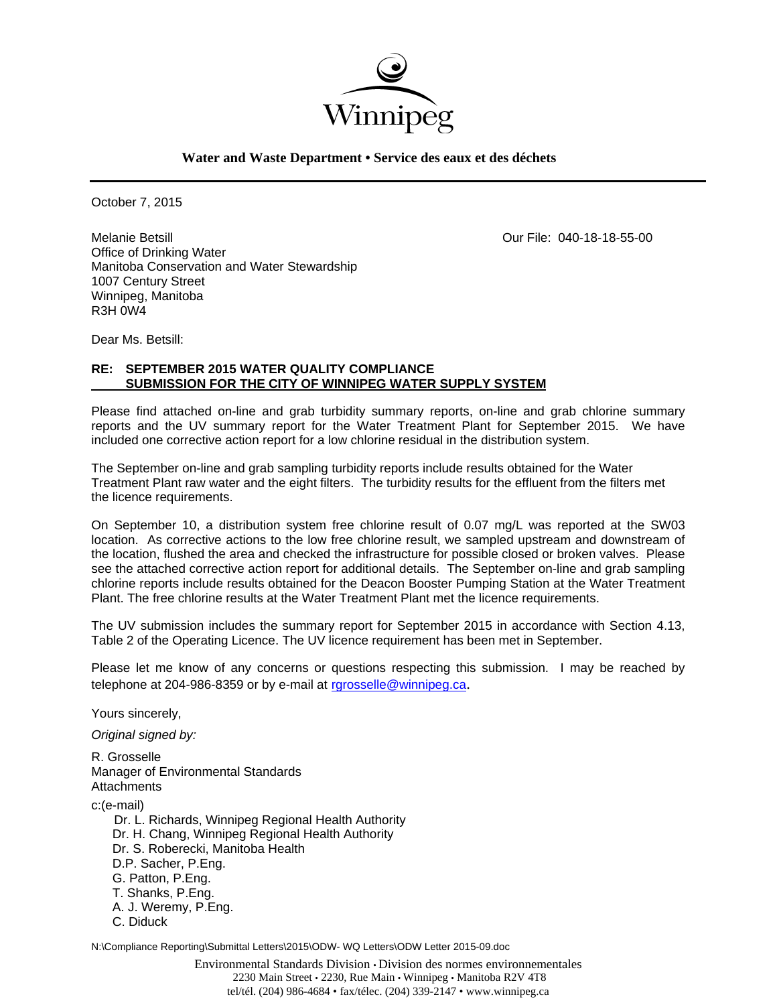

**Water and Waste Department • Service des eaux et des déchets**

October 7, 2015

Melanie Betsill Our File: 040-18-18-55-00 Office of Drinking Water Manitoba Conservation and Water Stewardship 1007 Century Street Winnipeg, Manitoba R3H 0W4

Dear Ms. Betsill:

## **RE: SEPTEMBER 2015 WATER QUALITY COMPLIANCE SUBMISSION FOR THE CITY OF WINNIPEG WATER SUPPLY SYSTEM**

Please find attached on-line and grab turbidity summary reports, on-line and grab chlorine summary reports and the UV summary report for the Water Treatment Plant for September 2015. We have included one corrective action report for a low chlorine residual in the distribution system.

The September on-line and grab sampling turbidity reports include results obtained for the Water Treatment Plant raw water and the eight filters. The turbidity results for the effluent from the filters met the licence requirements.

On September 10, a distribution system free chlorine result of 0.07 mg/L was reported at the SW03 location. As corrective actions to the low free chlorine result, we sampled upstream and downstream of the location, flushed the area and checked the infrastructure for possible closed or broken valves. Please see the attached corrective action report for additional details. The September on-line and grab sampling chlorine reports include results obtained for the Deacon Booster Pumping Station at the Water Treatment Plant. The free chlorine results at the Water Treatment Plant met the licence requirements.

The UV submission includes the summary report for September 2015 in accordance with Section 4.13, Table 2 of the Operating Licence. The UV licence requirement has been met in September.

Please let me know of any concerns or questions respecting this submission. I may be reached by telephone at 204-986-8359 or by e-mail at rgrosselle@winnipeg.ca.

Yours sincerely,

*Original signed by:* 

R. Grosselle Manager of Environmental Standards **Attachments** 

c:(e-mail)

 Dr. L. Richards, Winnipeg Regional Health Authority Dr. H. Chang, Winnipeg Regional Health Authority Dr. S. Roberecki, Manitoba Health D.P. Sacher, P.Eng. G. Patton, P.Eng. T. Shanks, P.Eng. A. J. Weremy, P.Eng. C. Diduck

N:\Compliance Reporting\Submittal Letters\2015\ODW- WQ Letters\ODW Letter 2015-09.doc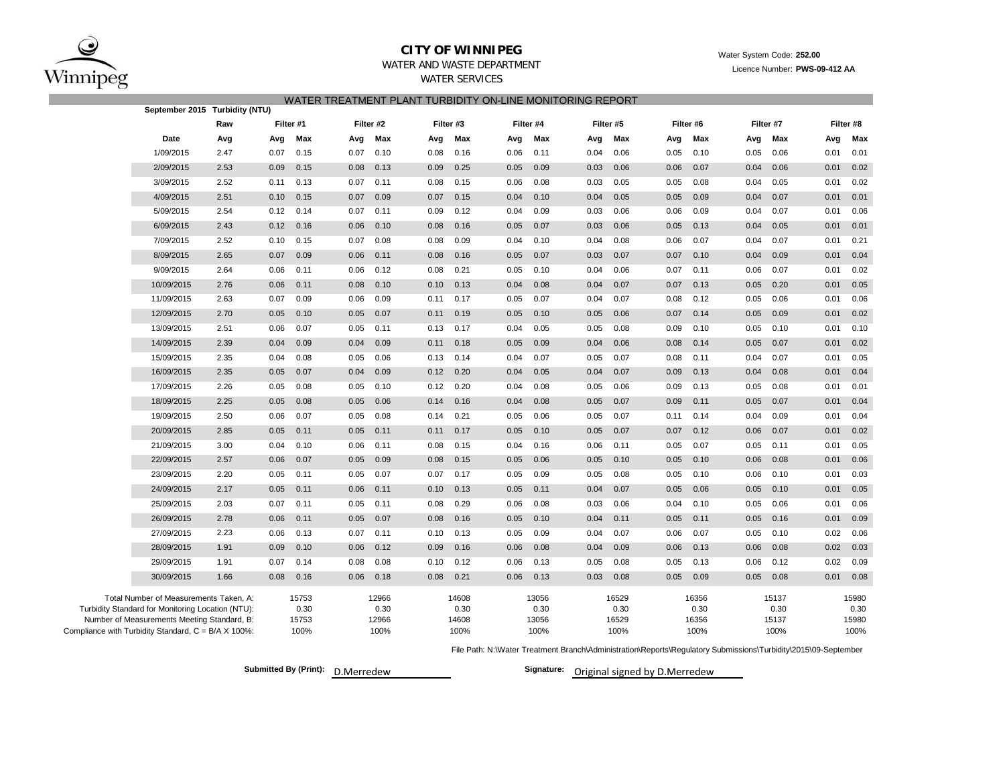

## **CITY OF WINNIPEG**

# Water System Code: **252.00**

Licence Number: **PWS-09-412 AA**

#### WATER AND WASTE DEPARTMENTWATER SERVICES

#### WATER TREATMENT PLANT TURBIDITY ON-LINE MONITORING REPORT

|                                                     | September 2015 Turbidity (NTU)                    |      |           |               |      |               |           |               |      |               |      |               |      |               |      |               |      |               |
|-----------------------------------------------------|---------------------------------------------------|------|-----------|---------------|------|---------------|-----------|---------------|------|---------------|------|---------------|------|---------------|------|---------------|------|---------------|
|                                                     |                                                   | Raw  | Filter #1 |               |      | Filter #2     | Filter #3 |               |      | Filter #4     |      | Filter #5     |      | Filter #6     |      | Filter #7     |      | Filter #8     |
|                                                     | Date                                              | Avg  | Avg       | Max           | Avg  | Max           | Avg       | Max           | Avg  | Max           | Avg  | Max           | Avg  | Max           | Avg  | Max           | Avg  | Max           |
|                                                     | 1/09/2015                                         | 2.47 | 0.07      | 0.15          | 0.07 | 0.10          | 0.08      | 0.16          | 0.06 | 0.11          | 0.04 | 0.06          | 0.05 | 0.10          | 0.05 | 0.06          | 0.01 | 0.01          |
|                                                     | 2/09/2015                                         | 2.53 | 0.09      | 0.15          | 0.08 | 0.13          | 0.09      | 0.25          | 0.05 | 0.09          | 0.03 | 0.06          | 0.06 | 0.07          | 0.04 | 0.06          | 0.01 | 0.02          |
|                                                     | 3/09/2015                                         | 2.52 | 0.11      | 0.13          | 0.07 | 0.11          | 0.08      | 0.15          | 0.06 | 0.08          | 0.03 | 0.05          | 0.05 | 0.08          | 0.04 | 0.05          | 0.01 | 0.02          |
|                                                     | 4/09/2015                                         | 2.51 | 0.10      | 0.15          | 0.07 | 0.09          | 0.07      | 0.15          | 0.04 | 0.10          | 0.04 | 0.05          | 0.05 | 0.09          | 0.04 | 0.07          | 0.01 | 0.01          |
|                                                     | 5/09/2015                                         | 2.54 | 0.12      | 0.14          | 0.07 | 0.11          | 0.09      | 0.12          | 0.04 | 0.09          | 0.03 | 0.06          | 0.06 | 0.09          | 0.04 | 0.07          | 0.01 | 0.06          |
|                                                     | 6/09/2015                                         | 2.43 | 0.12      | 0.16          | 0.06 | 0.10          | 0.08      | 0.16          | 0.05 | 0.07          | 0.03 | 0.06          | 0.05 | 0.13          | 0.04 | 0.05          | 0.01 | 0.01          |
|                                                     | 7/09/2015                                         | 2.52 | 0.10      | 0.15          | 0.07 | 0.08          | 0.08      | 0.09          | 0.04 | 0.10          | 0.04 | 0.08          | 0.06 | 0.07          | 0.04 | 0.07          | 0.01 | 0.21          |
|                                                     | 8/09/2015                                         | 2.65 | 0.07      | 0.09          | 0.06 | 0.11          | 0.08      | 0.16          | 0.05 | 0.07          | 0.03 | 0.07          | 0.07 | 0.10          | 0.04 | 0.09          | 0.01 | 0.04          |
|                                                     | 9/09/2015                                         | 2.64 | 0.06      | 0.11          | 0.06 | 0.12          | 0.08      | 0.21          | 0.05 | 0.10          | 0.04 | 0.06          | 0.07 | 0.11          | 0.06 | 0.07          | 0.01 | 0.02          |
|                                                     | 10/09/2015                                        | 2.76 | 0.06      | 0.11          | 0.08 | 0.10          | 0.10      | 0.13          | 0.04 | 0.08          | 0.04 | 0.07          | 0.07 | 0.13          | 0.05 | 0.20          | 0.01 | 0.05          |
|                                                     | 11/09/2015                                        | 2.63 | 0.07      | 0.09          | 0.06 | 0.09          | 0.11      | 0.17          | 0.05 | 0.07          | 0.04 | 0.07          | 0.08 | 0.12          | 0.05 | 0.06          | 0.01 | 0.06          |
|                                                     | 12/09/2015                                        | 2.70 | 0.05      | 0.10          | 0.05 | 0.07          | 0.11      | 0.19          | 0.05 | 0.10          | 0.05 | 0.06          | 0.07 | 0.14          | 0.05 | 0.09          | 0.01 | 0.02          |
|                                                     | 13/09/2015                                        | 2.51 | 0.06      | 0.07          | 0.05 | 0.11          | 0.13      | 0.17          | 0.04 | 0.05          | 0.05 | 0.08          | 0.09 | 0.10          | 0.05 | 0.10          | 0.01 | 0.10          |
|                                                     | 14/09/2015                                        | 2.39 | 0.04      | 0.09          | 0.04 | 0.09          | 0.11      | 0.18          | 0.05 | 0.09          | 0.04 | 0.06          | 0.08 | 0.14          | 0.05 | 0.07          | 0.01 | 0.02          |
|                                                     | 15/09/2015                                        | 2.35 | 0.04      | 0.08          | 0.05 | 0.06          | 0.13      | 0.14          | 0.04 | 0.07          | 0.05 | 0.07          | 0.08 | 0.11          | 0.04 | 0.07          | 0.01 | 0.05          |
|                                                     | 16/09/2015                                        | 2.35 | 0.05      | 0.07          | 0.04 | 0.09          | 0.12      | 0.20          | 0.04 | 0.05          | 0.04 | 0.07          | 0.09 | 0.13          | 0.04 | 0.08          | 0.01 | 0.04          |
|                                                     | 17/09/2015                                        | 2.26 | 0.05      | 0.08          | 0.05 | 0.10          | 0.12      | 0.20          | 0.04 | 0.08          | 0.05 | 0.06          | 0.09 | 0.13          | 0.05 | 0.08          | 0.01 | 0.01          |
|                                                     | 18/09/2015                                        | 2.25 | 0.05      | 0.08          | 0.05 | 0.06          | 0.14      | 0.16          | 0.04 | 0.08          | 0.05 | 0.07          | 0.09 | 0.11          | 0.05 | 0.07          | 0.01 | 0.04          |
|                                                     | 19/09/2015                                        | 2.50 | 0.06      | 0.07          | 0.05 | 0.08          | 0.14      | 0.21          | 0.05 | 0.06          | 0.05 | 0.07          | 0.11 | 0.14          | 0.04 | 0.09          | 0.01 | 0.04          |
|                                                     | 20/09/2015                                        | 2.85 | 0.05      | 0.11          | 0.05 | 0.11          | 0.11      | 0.17          | 0.05 | 0.10          | 0.05 | 0.07          | 0.07 | 0.12          | 0.06 | 0.07          | 0.01 | 0.02          |
|                                                     | 21/09/2015                                        | 3.00 | 0.04      | 0.10          | 0.06 | 0.11          | 0.08      | 0.15          | 0.04 | 0.16          | 0.06 | 0.11          | 0.05 | 0.07          | 0.05 | 0.11          | 0.01 | 0.05          |
|                                                     | 22/09/2015                                        | 2.57 | 0.06      | 0.07          | 0.05 | 0.09          | 0.08      | 0.15          | 0.05 | 0.06          | 0.05 | 0.10          | 0.05 | 0.10          | 0.06 | 0.08          | 0.01 | 0.06          |
|                                                     | 23/09/2015                                        | 2.20 | 0.05      | 0.11          | 0.05 | 0.07          | 0.07      | 0.17          | 0.05 | 0.09          | 0.05 | 0.08          | 0.05 | 0.10          | 0.06 | 0.10          | 0.01 | 0.03          |
|                                                     | 24/09/2015                                        | 2.17 | 0.05      | 0.11          | 0.06 | 0.11          | 0.10      | 0.13          | 0.05 | 0.11          | 0.04 | 0.07          | 0.05 | 0.06          | 0.05 | 0.10          | 0.01 | 0.05          |
|                                                     | 25/09/2015                                        | 2.03 | 0.07      | 0.11          | 0.05 | 0.11          | 0.08      | 0.29          | 0.06 | 0.08          | 0.03 | 0.06          | 0.04 | 0.10          | 0.05 | 0.06          | 0.01 | 0.06          |
|                                                     | 26/09/2015                                        | 2.78 | 0.06      | 0.11          | 0.05 | 0.07          | 0.08      | 0.16          | 0.05 | 0.10          | 0.04 | 0.11          | 0.05 | 0.11          | 0.05 | 0.16          | 0.01 | 0.09          |
|                                                     | 27/09/2015                                        | 2.23 | 0.06      | 0.13          | 0.07 | 0.11          | 0.10      | 0.13          | 0.05 | 0.09          | 0.04 | 0.07          | 0.06 | 0.07          | 0.05 | 0.10          | 0.02 | 0.06          |
|                                                     | 28/09/2015                                        | 1.91 | 0.09      | 0.10          | 0.06 | 0.12          | 0.09      | 0.16          | 0.06 | 0.08          | 0.04 | 0.09          | 0.06 | 0.13          | 0.06 | 0.08          | 0.02 | 0.03          |
|                                                     | 29/09/2015                                        | 1.91 | 0.07      | 0.14          | 0.08 | 0.08          | 0.10      | 0.12          | 0.06 | 0.13          | 0.05 | 0.08          | 0.05 | 0.13          | 0.06 | 0.12          | 0.02 | 0.09          |
|                                                     | 30/09/2015                                        | 1.66 | 0.08      | 0.16          | 0.06 | 0.18          | 0.08      | 0.21          | 0.06 | 0.13          | 0.03 | 0.08          | 0.05 | 0.09          | 0.05 | 0.08          | 0.01 | 0.08          |
|                                                     | Total Number of Measurements Taken, A:            |      |           | 15753         |      | 12966         |           | 14608         |      | 13056         |      | 16529         |      | 16356         |      | 15137         |      | 15980         |
|                                                     | Turbidity Standard for Monitoring Location (NTU): |      |           | 0.30          |      | 0.30          |           | 0.30          |      | 0.30          |      | 0.30          |      | 0.30          |      | 0.30          |      | 0.30          |
| Compliance with Turbidity Standard, C = B/A X 100%: | Number of Measurements Meeting Standard, B:       |      |           | 15753<br>100% |      | 12966<br>100% |           | 14608<br>100% |      | 13056<br>100% |      | 16529<br>100% |      | 16356<br>100% |      | 15137<br>100% |      | 15980<br>100% |
|                                                     |                                                   |      |           |               |      |               |           |               |      |               |      |               |      |               |      |               |      |               |

File Path: N:\Water Treatment Branch\Administration\Reports\Regulatory Submissions\Turbidity\2015\09-September

**Submitted By (Print): D.Merredew** 

Signature: Original signed by D.Merredew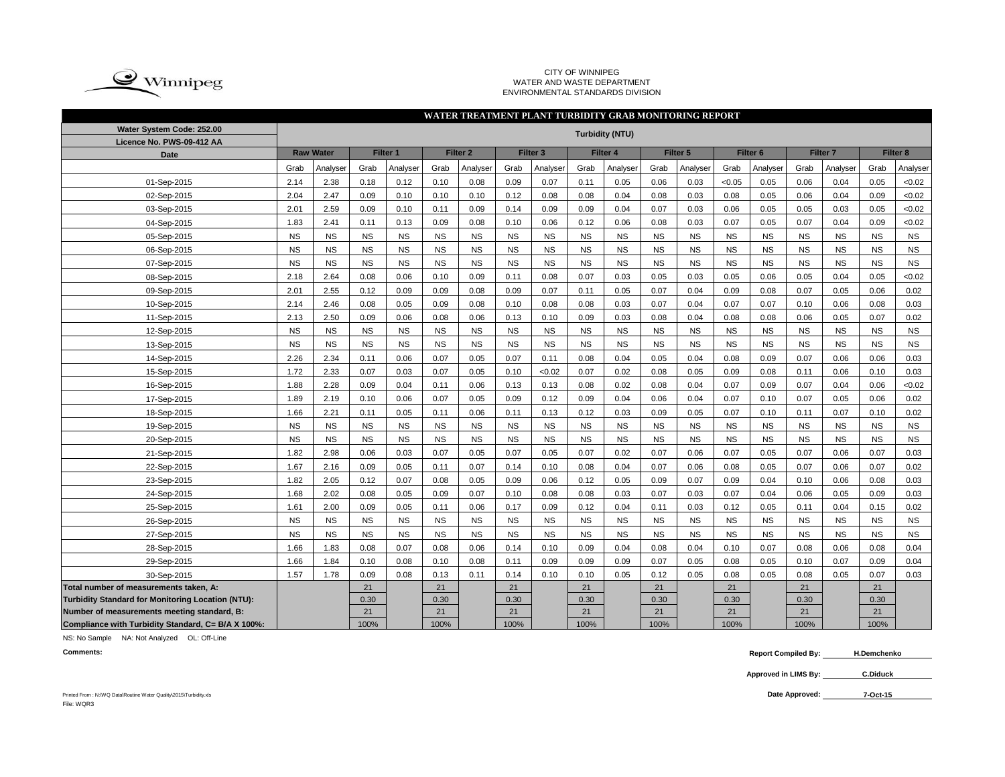

#### CITY OF WINNIPEG WATER AND WASTE DEPARTMENT ENVIRONMENTAL STANDARDS DIVISION

#### Grab |Analyser| Grab |Analyser| Grab |Analyser| Grab |Analyser| Grab |Analyser| Grab |Analyser| Grab |Grab |Analyser| Grab |Analyser 2.14 2.38 0.18 0.12 0.10 0.08 0.09 0.07 0.11 0.05 0.06 0.03 <0.05 0.05 0.06 0.04 0.05 <0.02 2.04 | 2.47 | 0.09 | 0.10 | 0.10 | 0.10 | 0.12 | 0.08 | 0.08 | 0.04 | 0.08 | 0.03 | 0.08 | 0.05 | 0.06 | 0.04 | 0.09 | <0.02 2.01 2.59 0.09 0.10 0.11 0.09 0.14 0.09 0.09 0.04 0.07 0.03 0.06 0.05 0.05 0.03 0.05 <0.02 1.83 | 2.41 | 0.11 | 0.13 | 0.09 | 0.08 | 0.10 | 0.06 | 0.12 | 0.06 | 0.08 | 0.03 | 0.07 | 0.05 | 0.07 | 0.04 | 0.09 | <0.02 NS NS NS NS NS NS NS NS NS NS NS NS NS NS NS NS NS NS NS NS NS NS NS NS NS NS NS NS NS NS NS NS NS NS NS NS NS NS NS NS NS NS NS NS NS NS NS NS NS NS NS NS NS NS 2.18 2.64 0.08 0.06 0.10 0.09 0.11 0.08 0.07 0.03 0.05 0.03 0.05 0.06 0.05 0.04 0.05 <0.02 2.01 2.55 0.12 0.09 0.09 0.08 0.09 0.07 0.11 0.05 0.07 0.04 0.09 0.08 0.07 0.05 0.06 0.02 2.14 | 2.46 | 0.08 | 0.05 | 0.09 | 0.08 | 0.10 | 0.08 | 0.08 | 0.03 | 0.07 | 0.04 | 0.07 | 0.07 | 0.10 | 0.06 | 0.08 | 0.03 2.13 2.50 0.09 0.06 0.08 0.06 0.13 0.10 0.09 0.03 0.08 0.04 0.08 0.08 0.06 0.05 0.07 0.02 NS NS NS NS NS NS NS NS NS NS NS NS NS NS NS NS NS NS NS NS NS NS NS NS NS NS NS NS NS NS NS NS NS NS NS NS 2.26 2.34 0.11 0.06 0.07 0.05 0.07 0.11 0.08 0.04 0.05 0.04 0.08 0.09 0.07 0.06 0.06 0.03 1.72 2.33 0.07 0.03 0.07 0.05 0.05 0.10 <0.02 0.07 0.02 0.08 0.05 0.09 0.08 0.11 0.06 0.10 0.03 1.88 | 2.28 | 0.09 | 0.04 | 0.11 | 0.06 | 0.13 | 0.13 | 0.08 | 0.02 | 0.08 | 0.04 | 0.07 | 0.09 | 0.07 | 0.04 | 0.06 | <0.02 1.89 | 2.19 | 0.10 | 0.06 | 0.07 | 0.05 | 0.09 | 0.12 | 0.09 | 0.04 | 0.06 | 0.04 | 0.07 | 0.10 | 0.07 | 0.05 | 0.06 | 0.02 1.66 | 2.21 | 0.11 | 0.05 | 0.11 | 0.06 | 0.11 | 0.13 | 0.12 | 0.03 | 0.09 | 0.05 | 0.07 | 0.10 | 0.11 | 0.07 | 0.10 | 0.02 NS NS NS NS NS NS NS NS NS NS NS NS NS NS NS NS NS NS NS NS NS NS NS NS NS NS NS NS NS NS NS NS NS NS NS NS 1.82 2.98 0.06 0.03 0.07 0.05 0.07 0.05 0.07 0.07 0.02 0.07 0.06 0.07 0.05 0.07 0.06 0.07 0.03 1.67 | 2.16 | 0.09 | 0.05 | 0.11 | 0.07 | 0.14 | 0.10 | 0.08 | 0.04 | 0.07 | 0.06 | 0.08 | 0.07 | 0.06 | 0.07 | 0.02 1.82 | 2.05 | 0.12 | 0.07 | 0.08 | 0.05 | 0.09 | 0.06 | 0.12 | 0.05 | 0.09 | 0.07 | 0.09 | 0.04 | 0.10 | 0.06 | 0.08 | 0.03 1.68 | 2.02 | 0.08 | 0.05 | 0.09 | 0.07 | 0.10 | 0.08 | 0.08 | 0.03 | 0.07 | 0.03 | 0.07 | 0.04 | 0.06 | 0.05 | 0.09 | 0.03 1.61 | 2.00 | 0.09 | 0.05 | 0.11 | 0.06 | 0.17 | 0.09 | 0.12 | 0.04 | 0.11 | 0.03 | 0.12 | 0.05 | 0.11 | 0.04 | 0.15 | 0.02 NS NS NS NS NS NS NS NS NS NS NS NS NS NS NS NS NS NS NS NS NS NS NS NS NS NS NS NS NS NS NS NS NS NS NS NS 1.66 | 1.83 | 0.08 | 0.07 | 0.08 | 0.06 | 0.14 | 0.10 | 0.09 | 0.04 | 0.08 | 0.04 | 0.10 | 0.07 | 0.08 | 0.06 | 0.08 | 0.04 1.66 | 1.84 | 0.10 | 0.08 | 0.10 | 0.08 | 0.11 | 0.09 | 0.09 | 0.09 | 0.07 | 0.05 | 0.08 | 0.05 | 0.10 | 0.07 | 0.09 | 0.04 1.57 | 1.78 | 0.09 | 0.08 | 0.13 | 0.11 | 0.14 | 0.10 | 0.10 | 0.05 | 0.12 | 0.05 | 0.08 | 0.05 | 0.08 | 0.05 | 0.07 | 0.03 **Total number of measurements taken, A:** 21 21 21 21 21 21 21 21 **Turbidity Standard for Monitoring Location (NTU):** 0.30 0.30 0.30 0.30 0.30 0.30 0.30 0.30 **Number of measurements meeting standard, B:** 21 21 21 21 21 21 21 21 **Compliance with Turbidity Standard, C= B/A X 100%:** 100% 100% 100% 100% 100% 100% 100% 100% 25-Sep-2015 26-Sep-2015 27-Sep-2015 28-Sep-2015 29-Sep-2015 30-Sep-2015 24-Sep-2015 13-Sep-2015 14-Sep-2015 15-Sep-2015 16-Sep-2015 17-Sep-2015 18-Sep-2015 19-Sep-2015 20-Sep-2015 21-Sep-2015 22-Sep-2015 23-Sep-2015 12-Sep-2015 01-Sep-2015 02-Sep-2015 03-Sep-2015 04-Sep-2015 05-Sep-2015 06-Sep-2015 07-Sep-2015 08-Sep-2015 09-Sep-2015 10-Sep-2015 11-Sep-2015 **WATER TREATMENT PLANT TURBIDITY GRAB MONITORING REPORT Water System Code: 252.00 Turbidity (NTU) Licence No. PWS-09-412 AA Date Raw Water Filter 1 Filter 2 Filter 3 Filter 4 Filter 5 Filter 6 Filter 7 Filter 8**

NS: No Sample NA: Not Analyzed OL: Off-Line

**Comments: Report Compiled By: H.Demchenko**

> **Approved in LIMS By: C.Diduck**

**7-Oct-15**

Printed From : N:\WQ Data\Routine Water Quality\2015\Turbidity.xls **Date Approved:** File: WOR3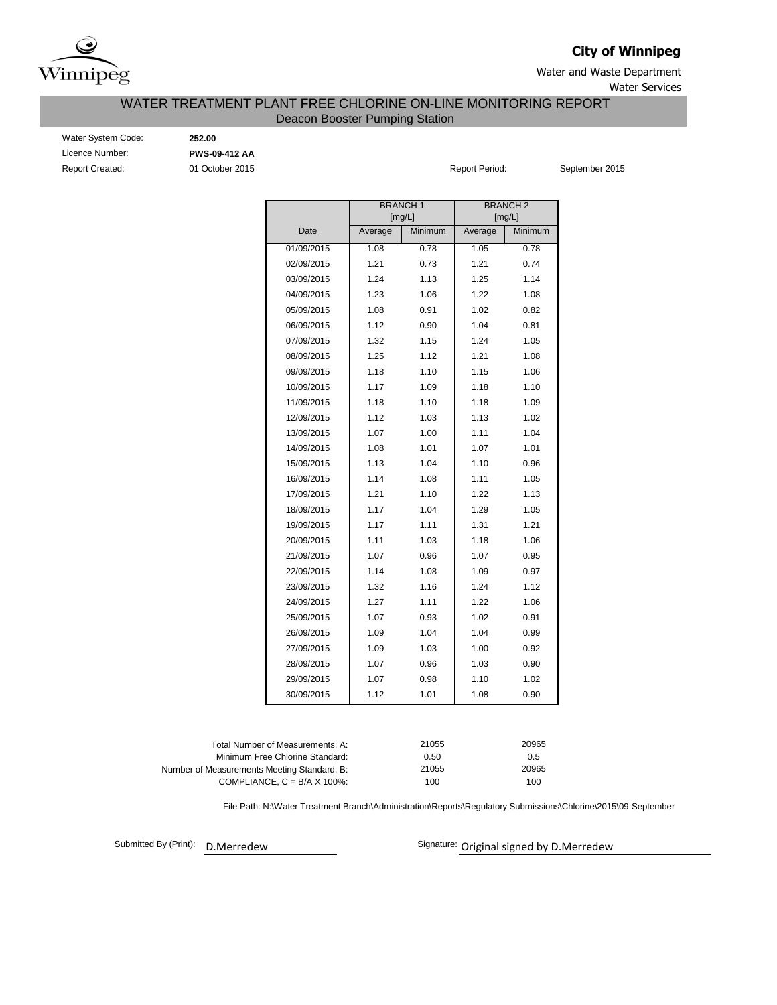

## **City of Winnipeg**

Water and Waste Department Water Services

### Deacon Booster Pumping Station WATER TREATMENT PLANT FREE CHLORINE ON-LINE MONITORING REPORT

| <b>Water System Code</b> |
|--------------------------|
| Licence Number:          |
| <b>Report Created:</b>   |

e: **252.00** Licence Number: **PWS-09-412 AA**

01 October 2015 **Report Period:** September 2015

|            |         | <b>BRANCH1</b><br>[mg/L] |         | <b>BRANCH2</b><br>[mg/L] |
|------------|---------|--------------------------|---------|--------------------------|
| Date       | Average | Minimum                  | Average | Minimum                  |
| 01/09/2015 | 1.08    | 0.78                     | 1.05    | 0.78                     |
| 02/09/2015 | 1.21    | 0.73                     | 1.21    | 0.74                     |
| 03/09/2015 | 1.24    | 1.13                     | 1.25    | 1.14                     |
| 04/09/2015 | 1.23    | 1.06                     | 1.22    | 1.08                     |
| 05/09/2015 | 1.08    | 0.91                     | 1.02    | 0.82                     |
| 06/09/2015 | 1.12    | 0.90                     | 1.04    | 0.81                     |
| 07/09/2015 | 1.32    | 1.15                     | 1.24    | 1.05                     |
| 08/09/2015 | 1.25    | 1.12                     | 1.21    | 1.08                     |
| 09/09/2015 | 1.18    | 1.10                     | 1.15    | 1.06                     |
| 10/09/2015 | 1.17    | 1.09                     | 1.18    | 1.10                     |
| 11/09/2015 | 1.18    | 1.10                     | 1.18    | 1.09                     |
| 12/09/2015 | 1.12    | 1.03                     | 1.13    | 1.02                     |
| 13/09/2015 | 1.07    | 1.00                     | 1.11    | 1.04                     |
| 14/09/2015 | 1.08    | 1.01                     | 1.07    | 1.01                     |
| 15/09/2015 | 1.13    | 1.04                     | 1.10    | 0.96                     |
| 16/09/2015 | 1.14    | 1.08                     | 1.11    | 1.05                     |
| 17/09/2015 | 1.21    | 1.10                     | 1.22    | 1.13                     |
| 18/09/2015 | 1.17    | 1.04                     | 1.29    | 1.05                     |
| 19/09/2015 | 1.17    | 1.11                     | 1.31    | 1.21                     |
| 20/09/2015 | 1.11    | 1.03                     | 1.18    | 1.06                     |
| 21/09/2015 | 1.07    | 0.96                     | 1.07    | 0.95                     |
| 22/09/2015 | 1.14    | 1.08                     | 1.09    | 0.97                     |
| 23/09/2015 | 1.32    | 1.16                     | 1.24    | 1.12                     |
| 24/09/2015 | 1.27    | 1.11                     | 1.22    | 1.06                     |
| 25/09/2015 | 1.07    | 0.93                     | 1.02    | 0.91                     |
| 26/09/2015 | 1.09    | 1.04                     | 1.04    | 0.99                     |
| 27/09/2015 | 1.09    | 1.03                     | 1.00    | 0.92                     |
| 28/09/2015 | 1.07    | 0.96                     | 1.03    | 0.90                     |
| 29/09/2015 | 1.07    | 0.98                     | 1.10    | 1.02                     |
| 30/09/2015 | 1.12    | 1.01                     | 1.08    | 0.90                     |

| Total Number of Measurements. A:            | 21055 | 20965 |
|---------------------------------------------|-------|-------|
| Minimum Free Chlorine Standard:             | 0.50  | 0.5   |
| Number of Measurements Meeting Standard, B: | 21055 | 20965 |
| COMPLIANCE, $C = B/A \times 100\%$ :        | 100   | 100   |
|                                             |       |       |

File Path: N:\Water Treatment Branch\Administration\Reports\Regulatory Submissions\Chlorine\2015\09-September

Submitted By (Print):

D.Merredew **D.Merredew** Signature: Original signed by D.Merredew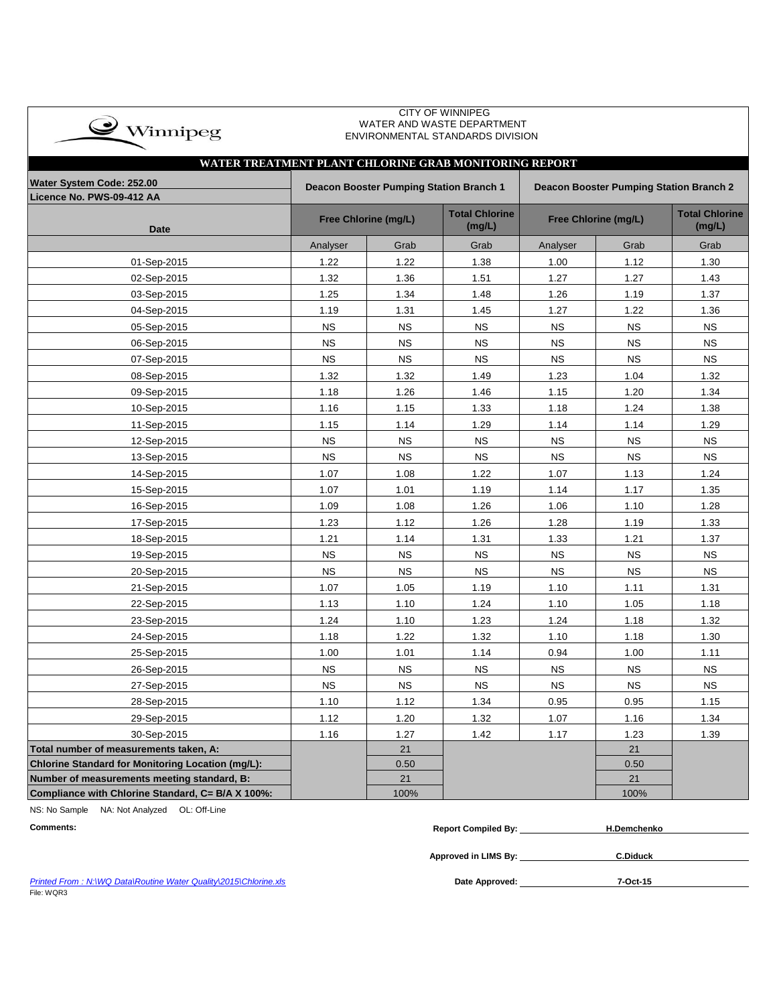| $\bullet$ Winnipeg |  |
|--------------------|--|
|                    |  |

 CITY OF WINNIPEG WATER AND WASTE DEPARTMENT ENVIRONMENTAL STANDARDS DIVISION

# **WATER TREATMENT PLANT CHLORINE GRAB MONITORING REPORT**

| Water System Code: 252.00                         |           | Deacon Booster Pumping Station Branch 1 |                                 | Deacon Booster Pumping Station Branch 2 |                                 |           |  |  |  |
|---------------------------------------------------|-----------|-----------------------------------------|---------------------------------|-----------------------------------------|---------------------------------|-----------|--|--|--|
| Licence No. PWS-09-412 AA<br><b>Date</b>          |           | Free Chlorine (mg/L)                    | <b>Total Chlorine</b><br>(mg/L) | Free Chlorine (mg/L)                    | <b>Total Chlorine</b><br>(mg/L) |           |  |  |  |
|                                                   | Analyser  | Grab                                    | Grab                            | Analyser                                | Grab                            | Grab      |  |  |  |
| 01-Sep-2015                                       | 1.22      | 1.22                                    | 1.38                            | 1.00                                    | 1.12                            | 1.30      |  |  |  |
| 02-Sep-2015                                       | 1.32      | 1.36                                    | 1.51                            | 1.27                                    | 1.27                            | 1.43      |  |  |  |
| 03-Sep-2015                                       | 1.25      | 1.34                                    | 1.48                            | 1.26                                    | 1.19                            | 1.37      |  |  |  |
| 04-Sep-2015                                       | 1.19      | 1.31                                    | 1.45                            | 1.27                                    | 1.22                            | 1.36      |  |  |  |
| 05-Sep-2015                                       | <b>NS</b> | <b>NS</b>                               | <b>NS</b>                       | <b>NS</b>                               | <b>NS</b>                       | <b>NS</b> |  |  |  |
| 06-Sep-2015                                       | <b>NS</b> | <b>NS</b>                               | <b>NS</b>                       | <b>NS</b>                               | <b>NS</b>                       | <b>NS</b> |  |  |  |
| 07-Sep-2015                                       | <b>NS</b> | <b>NS</b>                               | <b>NS</b>                       | <b>NS</b>                               | <b>NS</b>                       | <b>NS</b> |  |  |  |
| 08-Sep-2015                                       | 1.32      | 1.32                                    | 1.49                            | 1.23                                    | 1.04                            | 1.32      |  |  |  |
| 09-Sep-2015                                       | 1.18      | 1.26                                    | 1.46                            | 1.15                                    | 1.20                            | 1.34      |  |  |  |
| 10-Sep-2015                                       | 1.16      | 1.15                                    | 1.33                            | 1.18                                    | 1.24                            | 1.38      |  |  |  |
| 11-Sep-2015                                       | 1.15      | 1.14                                    | 1.29                            | 1.14                                    | 1.14                            | 1.29      |  |  |  |
| 12-Sep-2015                                       | <b>NS</b> | <b>NS</b>                               | <b>NS</b>                       | NS                                      | <b>NS</b>                       | <b>NS</b> |  |  |  |
| 13-Sep-2015                                       | <b>NS</b> | <b>NS</b>                               | <b>NS</b>                       | <b>NS</b>                               | <b>NS</b>                       | <b>NS</b> |  |  |  |
| 14-Sep-2015                                       | 1.07      | 1.08                                    | 1.22                            | 1.07                                    | 1.13                            | 1.24      |  |  |  |
| 15-Sep-2015                                       | 1.07      | 1.01                                    | 1.19                            | 1.14                                    | 1.17                            | 1.35      |  |  |  |
| 16-Sep-2015                                       | 1.09      | 1.08                                    | 1.26                            | 1.06                                    | 1.10                            | 1.28      |  |  |  |
| 17-Sep-2015                                       | 1.23      | 1.12                                    | 1.26                            | 1.28                                    | 1.19                            | 1.33      |  |  |  |
| 18-Sep-2015                                       | 1.21      | 1.14                                    | 1.31                            | 1.33                                    | 1.21                            | 1.37      |  |  |  |
| 19-Sep-2015                                       | <b>NS</b> | <b>NS</b>                               | <b>NS</b>                       | <b>NS</b>                               | <b>NS</b>                       | <b>NS</b> |  |  |  |
| 20-Sep-2015                                       | <b>NS</b> | <b>NS</b>                               | <b>NS</b>                       | <b>NS</b>                               | <b>NS</b>                       | <b>NS</b> |  |  |  |
| 21-Sep-2015                                       | 1.07      | 1.05                                    | 1.19                            | 1.10                                    | 1.11                            | 1.31      |  |  |  |
| 22-Sep-2015                                       | 1.13      | 1.10                                    | 1.24                            | 1.10                                    | 1.05                            | 1.18      |  |  |  |
| 23-Sep-2015                                       | 1.24      | 1.10                                    | 1.23                            | 1.24                                    | 1.18                            | 1.32      |  |  |  |
| 24-Sep-2015                                       | 1.18      | 1.22                                    | 1.32                            | 1.10                                    | 1.18                            | 1.30      |  |  |  |
| 25-Sep-2015                                       | 1.00      | 1.01                                    | 1.14                            | 0.94                                    | 1.00                            | 1.11      |  |  |  |
| 26-Sep-2015                                       | NS        | <b>NS</b>                               | <b>NS</b>                       | <b>NS</b>                               | <b>NS</b>                       | <b>NS</b> |  |  |  |
| 27-Sep-2015                                       | NS        | <b>NS</b>                               | <b>NS</b>                       | <b>NS</b>                               | <b>NS</b>                       | <b>NS</b> |  |  |  |
| 28-Sep-2015                                       | 1.10      | 1.12                                    | 1.34                            | 0.95                                    | 0.95                            | 1.15      |  |  |  |
| 29-Sep-2015                                       | 1.12      | 1.20                                    | 1.32                            | 1.07                                    | 1.16                            | 1.34      |  |  |  |
| 30-Sep-2015                                       | 1.16      | 1.27                                    | 1.42                            | 1.17                                    | 1.23                            | 1.39      |  |  |  |
| Total number of measurements taken, A:            |           | 21                                      |                                 |                                         | 21                              |           |  |  |  |
| Chlorine Standard for Monitoring Location (mg/L): |           | 0.50                                    |                                 |                                         | 0.50                            |           |  |  |  |
| Number of measurements meeting standard, B:       |           | 21                                      |                                 |                                         | 21                              |           |  |  |  |
| Compliance with Chlorine Standard, C= B/A X 100%: |           | 100%                                    |                                 |                                         | 100%                            |           |  |  |  |

NS: No Sample NA: Not Analyzed OL: Off-Line

| Comments <sup>.</sup> | . Compiled Bv:<br><b>Report</b> ( | H.Demchenko |
|-----------------------|-----------------------------------|-------------|
|-----------------------|-----------------------------------|-------------|

**Approved in LIMS By: C.Diduck**

**Printed From : N:\WQ Data\Routine Water Quality\2015\Chlorine.xls** File: WQR3

Date Approved: 7-Oct-15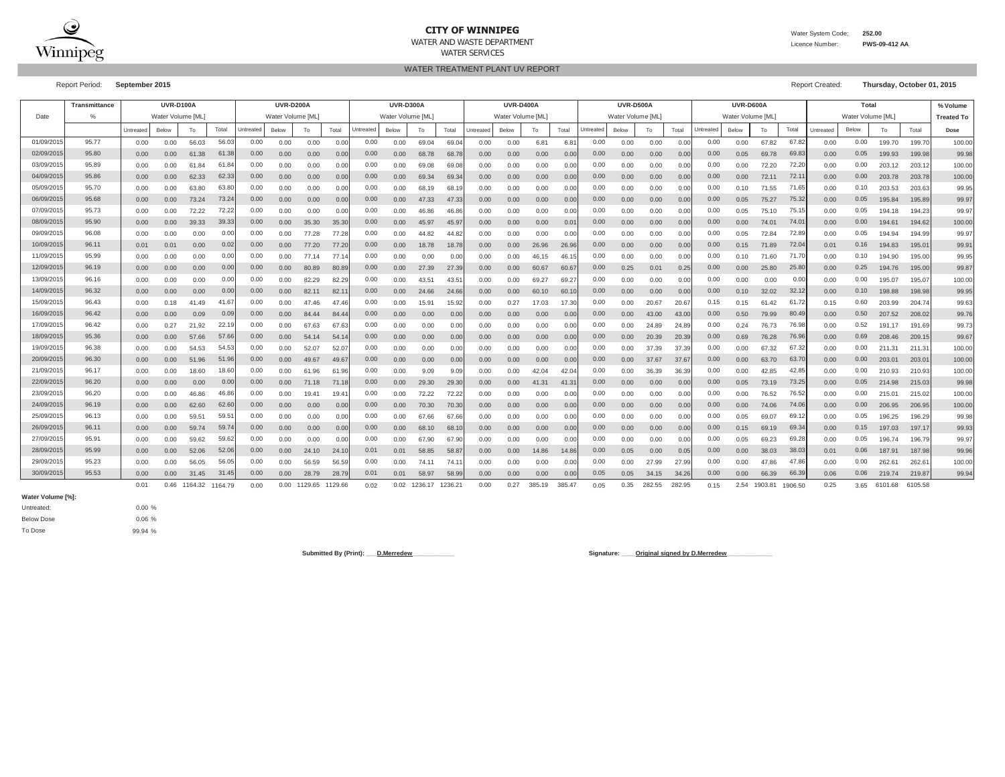

### **CITY OF WINNIPEG**

WATER AND WASTE DEPARTMENTWATER SERVICES

WATER TREATMENT PLANT UV REPORT

Water System Code: **252.00**

Licence Number: **PWS-09-412 AA**

Report Period: **September 2015** Report Created: **Thursday, October 01, 2015**

|           | <b>Transmittance</b> |           | <b>UVR-D100A</b>  |         |         |           | <b>UVR-D200A</b>  |         |         |           | <b>UVR-D300A</b>  |         |         |           | <b>UVR-D400A</b>  |        |               |           | <b>UVR-D500A</b>  |        |        |           | UVR-D600A         |         |         |           | Total             |         |                 | % Volume          |
|-----------|----------------------|-----------|-------------------|---------|---------|-----------|-------------------|---------|---------|-----------|-------------------|---------|---------|-----------|-------------------|--------|---------------|-----------|-------------------|--------|--------|-----------|-------------------|---------|---------|-----------|-------------------|---------|-----------------|-------------------|
| Date      | %                    |           | Water Volume [ML] |         |         |           | Water Volume [ML] |         |         |           | Water Volume [ML] |         |         |           | Water Volume [ML] |        |               |           | Water Volume [ML] |        |        |           | Water Volume [ML] |         |         |           | Water Volume [ML] |         |                 | <b>Treated To</b> |
|           |                      | Untreated | Below             | To      | Total   | Untreated | Below             | To      | Total   | Untreated | Below             | To      | Total   | Untreated | Below             | To     | Total         | Untreated | Below             | To     | Total  | Untreated | Below             | To      | Total   | Untreated | Below             | To      | Total           | Dose              |
| 01/09/201 | 95.77                | 0.00      | 0.00              | 56.03   | 56.0    | 0.00      | 0.00              | 0.00    | 0.0(    | 0.00      | 0.00              | 69.04   | 69.0    | 0.00      | 0.00              | 6.81   | 6.8           | 0.00      | 0.00              | 0.00   | 0.0(   | 0.00      | 0.00              | 67.82   | 67.82   | 0.00      | 0.00              | 199.70  | 199.70          | 100.00            |
| 02/09/201 | 95.80                | 0.00      | 0.00              | 61.38   | 61.3    | 0.00      | 0.00              | 0.00    | 0.0(    | 0.00      | 0.00              | 68.78   | 68.78   | 0.00      | 0.00              | 0.00   | 0.00          | 0.00      | 0.00              | 0.00   | 0.0(   | 0.00      | 0.05              | 69.78   | 69.83   | 0.00      | 0.05              | 199.93  | 199.98          | 99.98             |
| 03/09/201 | 95.89                | 0.00      | 0.00              | 61.84   | 61.8    | 0.00      | 0.00              | 0.00    | 0.0(    | 0.00      | 0.00              | 69.08   | 69.08   | 0.00      | 0.00              | 0.00   | 0.0(          | 0.00      | 0.00              | 0.00   | 0.0(   | 0.00      | 0.00              | 72.20   | 72.20   | 0.00      | 0.00              | 203.12  | 203.12          | 100.00            |
| 04/09/201 | 95.86                | 0.00      | 0.00              | 62.33   | 62.3    | 0.00      | 0.00              | 0.00    | 0.00    | 0.00      | 0.00              | 69.34   | 69.3    | 0.00      | 0.00              | 0.00   | 0.0(          | 0.00      | 0.00              | 0.00   | 0.0(   | 0.00      | 0.00              | 72.11   | 72.1    | 0.00      | 0.00              | 203.78  | 203.78          | 100.00            |
| 05/09/201 | 95.70                | 0.00      | 0.00              | 63.80   | 63.8    | 0.00      | 0.00              | 0.00    | 0.0(    | 0.00      | 0.00              | 68.19   | 68.1    | 0.00      | 0.00              | 0.00   | 0.0(          | 0.00      | 0.00              | 0.00   | 0.0    | 0.00      | 0.10              | 71.55   | 71.65   | 0.00      | 0.10              | 203.53  | 203.6           | 99.95             |
| 06/09/201 | 95.68                | 0.00      | 0.00              | 73.24   | 73.2    | 0.00      | 0.00              | 0.00    | 0.00    | 0.00      | 0.00              | 47.33   | 47.33   | 0.00      | 0.00              | 0.00   | 0.0(          | 0.00      | 0.00              | 0.00   | 0.0(   | 0.00      | 0.05              | 75.27   | 75.32   | 0.00      | 0.05              | 195.84  | 195.89          | 99.97             |
| 07/09/201 | 95.73                | 0.00      | 0.00              | 72.22   | 72.2    | 0.00      | 0.00              | 0.00    | 0.0     | 0.00      | 0.00              | 46.86   | 46.8    | 0.00      | 0.00              | 0.00   | 0.0           | 0.00      | 0.00              | 0.00   | 0.0    | 0.00      | 0.05              | 75.10   | 75.15   | 0.00      | 0.05              | 194.18  | 194.23          | 99.97             |
| 08/09/201 | 95.90                | 0.00      | 0.00              | 39.33   | 39.3    | 0.00      | 0.00              | 35.30   | 35.30   | 0.00      | 0.00              | 45.97   | 45.9    | 0.00      | 0.00              | 0.00   | $0.0^{\circ}$ | 0.00      | 0.00              | 0.00   | 0.0(   | 0.00      | 0.00              | 74.01   | 74.0    | 0.00      | 0.00              | 194.61  | 194.62          | 100.00            |
| 09/09/201 | 96.08                | 0.00      | 0.00              | 0.00    | 0.00    | 0.00      | 0.00              | 77.28   | 77.28   | 0.00      | 0.00              | 44.82   | 44.82   | 0.00      | 0.00              | 0.00   | 0.0(          | 0.00      | 0.00              | 0.00   | 0.0(   | 0.00      | 0.05              | 72.84   | 72.89   | 0.00      | 0.05              | 194.94  | 194.99          | 99.97             |
| 10/09/201 | 96.11                | 0.01      | 0.01              | 0.00    | 0.02    | 0.00      | 0.00              | 77.20   | 77.20   | 0.00      | 0.00              | 18.78   | 18.78   | 0.00      | 0.00              | 26.96  | 26.96         | 0.00      | 0.00              | 0.00   | 0.0(   | 0.00      | 0.15              | 71.89   | 72.04   | 0.01      | 0.16              | 194.83  | 195.0'          | 99.91             |
| 11/09/201 | 95.99                | 0.00      | 0.00              | 0.00    | 0.00    | 0.00      | 0.00              | 77.14   | 77.1    | 0.00      | 0.00              | 0.00    | 0.00    | 0.00      | 0.00              | 46.15  | 46.1          | 0.00      | 0.00              | 0.00   | 0.0(   | 0.00      | 0.10              | 71.60   | 71.70   | 0.00      | 0.10              | 194.90  | 195.00          | 99.95             |
| 12/09/201 | 96.19                | 0.00      | 0.00              | 0.00    | 0.0(    | 0.00      | 0.00              | 80.89   | 80.8    | 0.00      | 0.00              | 27.39   | 27.39   | 0.00      | 0.00              | 60.67  | 60.6          | 0.00      | 0.25              | 0.01   | 0.25   | 0.00      | 0.00              | 25.80   | 25.80   | 0.00      | 0.25              | 194.76  | 195.00          | 99.87             |
| 13/09/201 | 96.16                | 0.00      | 0.00              | 0.00    | 0.0(    | 0.00      | 0.00              | 82.29   | 82.2    | 0.00      | 0.00              | 43.51   | 43.5    | 0.00      | 0.00              | 69.27  | 69.2          | 0.00      | 0.00              | 0.00   | 0.0    | 0.00      | 0.00              | 0.00    | 0.00    | 0.00      | 0.00              | 195.07  | 195.0           | 100.00            |
| 14/09/201 | 96.32                | 0.00      | 0.00              | 0.00    | 0.0     | 0.00      | 0.00              | 82.11   | 82.7    | 0.00      | 0.00              | 24.66   | 24.66   | 0.00      | 0.00              | 60.10  | 60.1          | 0.00      | 0.00              | 0.00   | 0.0(   | 0.00      | 0.10              | 32.02   | 32.12   | 0.00      | 0.10              | 198.88  | 198.98          | 99.95             |
| 15/09/201 | 96.43                | 0.00      | 0.18              | 41.49   | 41.6    | 0.00      | 0.00              | 47.46   | 47.4    | 0.00      | 0.00              | 15.91   | 15.92   | 0.00      | 0.27              | 17.03  | 17.30         | 0.00      | 0.00              | 20.67  | 20.6   | 0.15      | 0.15              | 61.42   | 61.72   | 0.15      | 0.60              | 203.99  | 204.74          | 99.63             |
| 16/09/201 | 96.42                | 0.00      | 0.00              | 0.09    | 0.09    | 0.00      | 0.00              | 84.44   | 84.4    | 0.00      | 0.00              | 0.00    | 0.00    | 0.00      | 0.00              | 0.00   | 0.0(          | 0.00      | 0.00              | 43.00  | 43.0   | 0.00      | 0.50              | 79.99   | 80.49   | 0.00      | 0.50              | 207.52  | 208.02          | 99.76             |
| 17/09/201 | 96.42                | 0.00      | 0.27              | 21.92   | 22.1    | 0.00      | 0.00              | 67.63   | 67.63   | 0.00      | 0.00              | 0.00    | 0.00    | 0.00      | 0.00              | 0.00   | 0.0(          | 0.00      | 0.00              | 24.89  | 24.8   | 0.00      | 0.24              | 76.73   | 76.98   | 0.00      | 0.52              | 191.17  | 191.69          | 99.73             |
| 18/09/201 | 95.36                | 0.00      | 0.00              | 57.66   | 57.6    | 0.00      | 0.00              | 54.14   | 54.1    | 0.00      | 0.00              | 0.00    | 0.00    | 0.00      | 0.00              | 0.00   | 0.0(          | 0.00      | 0.00              | 20.39  | 20.3   | 0.00      | 0.69              | 76.28   | 76.96   | 0.00      | 0.69              | 208.46  | 209.15          | 99.67             |
| 19/09/201 | 96.38                | 0.00      | 0.00              | 54.53   | 54.5    | 0.00      | 0.00              | 52.07   | 52.0    | 0.00      | 0.00              | 0.00    | 0.00    | 0.00      | 0.00              | 0.00   | 0.0(          | 0.00      | 0.00              | 37.39  | 37.3   | 0.00      | 0.00              | 67.32   | 67.32   | 0.00      | 0.00              | 211.31  | 211.3'          | 100.00            |
| 20/09/201 | 96.30                | 0.00      | 0.00              | 51.96   | 51.9    | 0.00      | 0.00              | 49.67   | 49.6    | 0.00      | 0.00              | 0.00    | 0.00    | 0.00      | 0.00              | 0.00   | 0.0(          | 0.00      | 0.00              | 37.67  | 37.6   | 0.00      | 0.00              | 63.70   | 63.70   | 0.00      | 0.00              | 203.01  | $203.0^{\circ}$ | 100.00            |
| 21/09/201 | 96.17                | 0.00      | 0.00              | 18.60   | 18.6    | 0.00      | 0.00              | 61.96   | 61.9    | 0.00      | 0.00              | 9.09    | 9.09    | 0.00      | 0.00              | 42.04  | 42.0          | 0.00      | 0.00              | 36.39  | 36.3   | 0.00      | 0.00              | 42.85   | 42.85   | 0.00      | 0.00              | 210.93  | 210.93          | 100.00            |
| 22/09/201 | 96.20                | 0.00      | 0.00              | 0.00    | 0.00    | 0.00      | 0.00              | 71.18   | 71.1    | 0.00      | 0.00              | 29.30   | 29.30   | 0.00      | 0.00              | 41.31  | 41.3'         | 0.00      | 0.00              | 0.00   | 0.0(   | 0.00      | 0.05              | 73.19   | 73.25   | 0.00      | 0.05              | 214.98  | 215.03          | 99.98             |
| 23/09/201 | 96.20                | 0.00      | 0.00              | 46.86   | 46.8    | 0.00      | 0.00              | 19.41   | 19.4    | 0.00      | 0.00              | 72.22   | 72.22   | 0.00      | 0.00              | 0.00   | 0.00          | 0.00      | 0.00              | 0.00   | 0.0    | 0.00      | 0.00              | 76.52   | 76.52   | 0.00      | 0.00              | 215.01  | 215.02          | 100.00            |
| 24/09/201 | 96.19                | 0.00      | 0.00              | 62.60   | 62.6    | 0.00      | 0.00              | 0.00    | 0.00    | 0.00      | 0.00              | 70.30   | 70.30   | 0.00      | 0.00              | 0.00   | 0.0(          | 0.00      | 0.00              | 0.00   | 0.0(   | 0.00      | 0.00              | 74.06   | 74.06   | 0.00      | 0.00              | 206.95  | 206.95          | 100.00            |
| 25/09/201 | 96.13                | 0.00      | 0.00              | 59.51   | 59.5    | 0.00      | 0.00              | 0.00    | 0.00    | 0.00      | 0.00              | 67.66   | 67.66   | 0.00      | 0.00              | 0.00   | 0.00          | 0.00      | 0.00              | 0.00   | 0.0(   | 0.00      | 0.05              | 69.07   | 69.12   | 0.00      | 0.05              | 196.25  | 196.29          | 99.98             |
| 26/09/201 | 96.11                | 0.00      | 0.00              | 59.74   | 59.7    | 0.00      | 0.00              | 0.00    | 0.00    | 0.00      | 0.00              | 68.10   | 68.1    | 0.00      | 0.00              | 0.00   | 0.0(          | 0.00      | 0.00              | 0.00   | 0.0(   | 0.00      | 0.15              | 69.19   | 69.34   | 0.00      | 0.15              | 197.03  | 197.1           | 99.93             |
| 27/09/201 | 95.91                | 0.00      | 0.00              | 59.62   | 59.6    | 0.00      | 0.00              | 0.00    | 0.0     | 0.00      | 0.00              | 67.90   | 67.9    | 0.00      | 0.00              | 0.00   | 0.0           | 0.00      | 0.00              | 0.00   | 0.0    | 0.00      | 0.05              | 69.23   | 69.28   | 0.00      | 0.05              | 196.74  | 196.7           | 99.97             |
| 28/09/201 | 95.99                | 0.00      | 0.00              | 52.06   | 52.0    | 0.00      | 0.00              | 24.10   | 24.1    | 0.01      | 0.01              | 58.85   | 58.8    | 0.00      | 0.00              | 14.86  | 14.86         | 0.00      | 0.05              | 0.00   | 0.05   | 0.00      | 0.00              | 38.03   | 38.03   | 0.01      | 0.06              | 187.91  | 187.98          | 99.96             |
| 29/09/201 | 95.23                | 0.00      | 0.00              | 56.05   | 56.0    | 0.00      | 0.00              | 56.59   | 56.59   | 0.00      | 0.00              | 74.11   | 74.1    | 0.00      | 0.00              | 0.00   | 0.0(          | 0.00      | 0.00              | 27.99  | 27.99  | 0.00      | 0.00              | 47.86   | 47.86   | 0.00      | 0.00              | 262.61  | 262.6'          | 100.00            |
| 30/09/201 | 95.53                | 0.00      | 0.00              | 31.45   | 31.4    | 0.00      | 0.00              | 28.79   | 28.7    | 0.01      | 0.01              | 58.97   | 58.9    | 0.00      | 0.00              | 0.00   | 0.0(          | 0.05      | 0.05              | 34.15  | 34.2   | 0.00      | 0.00              | 66.39   | 66.39   | 0.06      | 0.06              | 219.74  | 219.87          | 99.94             |
|           |                      | 0.01      | 0.46              | 1164.32 | 1164.79 | 0.00      | 0.00              | 1129.65 | 1129.66 | 0.02      | 0.02              | 1236.17 | 1236.21 | 0.00      | 0.27              | 385.19 | 385.47        | 0.05      | 0.35              | 282.55 | 282.95 | 0.15      | 2.54              | 1903.81 | 1906.50 | 0.25      | 3.65              | 6101.68 | 6105.58         |                   |

**Water Volume [%]:**

Untreated: To Dose Below Dose

0.00 % 0.06 %99.94 %

Submitted By (Print): <u>D.Merredew</u> **Communication Communication Communication Communication Communication Communication Communication Communication Communication Communication Communication Communication Communication Comm**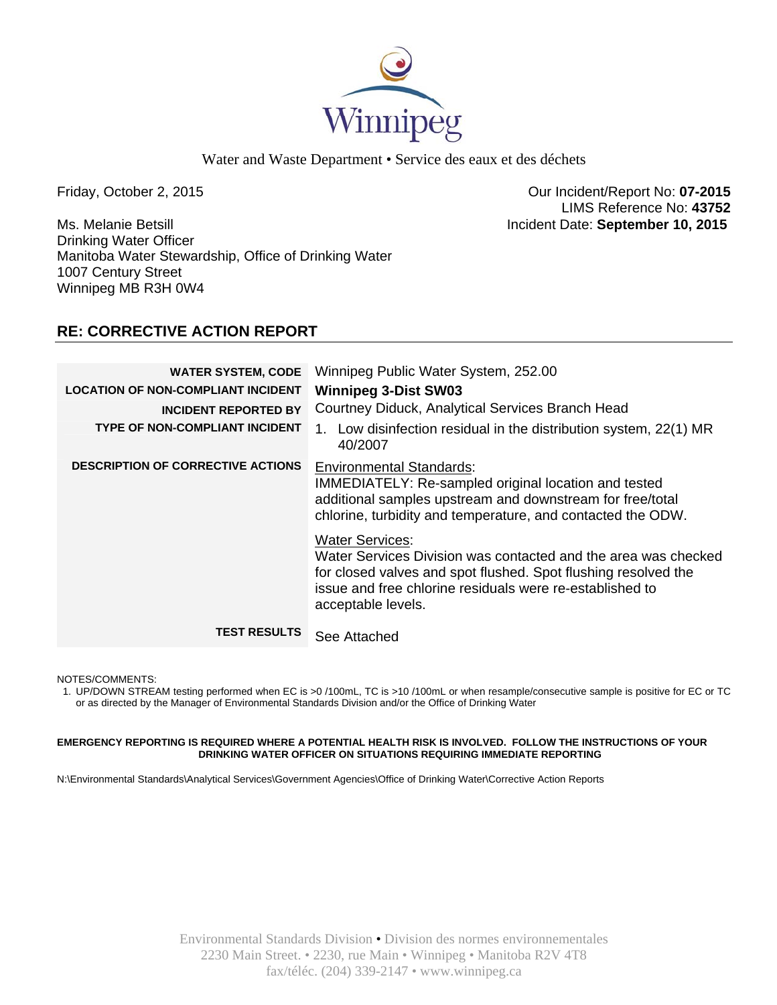

Water and Waste Department • Service des eaux et des déchets

Ms. Melanie Betsill Incident Date: **September 10, 2015**  Drinking Water Officer Manitoba Water Stewardship, Office of Drinking Water 1007 Century Street Winnipeg MB R3H 0W4

Friday, October 2, 2015 Our Incident/Report No: **07-2015**  LIMS Reference No: **43752**

# **RE: CORRECTIVE ACTION REPORT**

| <b>WATER SYSTEM, CODE</b>                 | Winnipeg Public Water System, 252.00                                                                                                                                                                                                         |
|-------------------------------------------|----------------------------------------------------------------------------------------------------------------------------------------------------------------------------------------------------------------------------------------------|
| <b>LOCATION OF NON-COMPLIANT INCIDENT</b> | <b>Winnipeg 3-Dist SW03</b>                                                                                                                                                                                                                  |
| <b>INCIDENT REPORTED BY</b>               | Courtney Diduck, Analytical Services Branch Head                                                                                                                                                                                             |
| <b>TYPE OF NON-COMPLIANT INCIDENT</b>     | 1. Low disinfection residual in the distribution system, 22(1) MR<br>40/2007                                                                                                                                                                 |
| <b>DESCRIPTION OF CORRECTIVE ACTIONS</b>  | <b>Environmental Standards:</b><br>IMMEDIATELY: Re-sampled original location and tested<br>additional samples upstream and downstream for free/total<br>chlorine, turbidity and temperature, and contacted the ODW.                          |
|                                           | <b>Water Services:</b><br>Water Services Division was contacted and the area was checked<br>for closed valves and spot flushed. Spot flushing resolved the<br>issue and free chlorine residuals were re-established to<br>acceptable levels. |
| <b>TEST RESULTS</b>                       | See Attached                                                                                                                                                                                                                                 |

NOTES/COMMENTS:

1. UP/DOWN STREAM testing performed when EC is >0 /100mL, TC is >10 /100mL or when resample/consecutive sample is positive for EC or TC or as directed by the Manager of Environmental Standards Division and/or the Office of Drinking Water

#### **EMERGENCY REPORTING IS REQUIRED WHERE A POTENTIAL HEALTH RISK IS INVOLVED. FOLLOW THE INSTRUCTIONS OF YOUR DRINKING WATER OFFICER ON SITUATIONS REQUIRING IMMEDIATE REPORTING**

N:\Environmental Standards\Analytical Services\Government Agencies\Office of Drinking Water\Corrective Action Reports

Environmental Standards Division • Division des normes environnementales 2230 Main Street. • 2230, rue Main • Winnipeg • Manitoba R2V 4T8 fax/téléc. (204) 339-2147 • www.winnipeg.ca